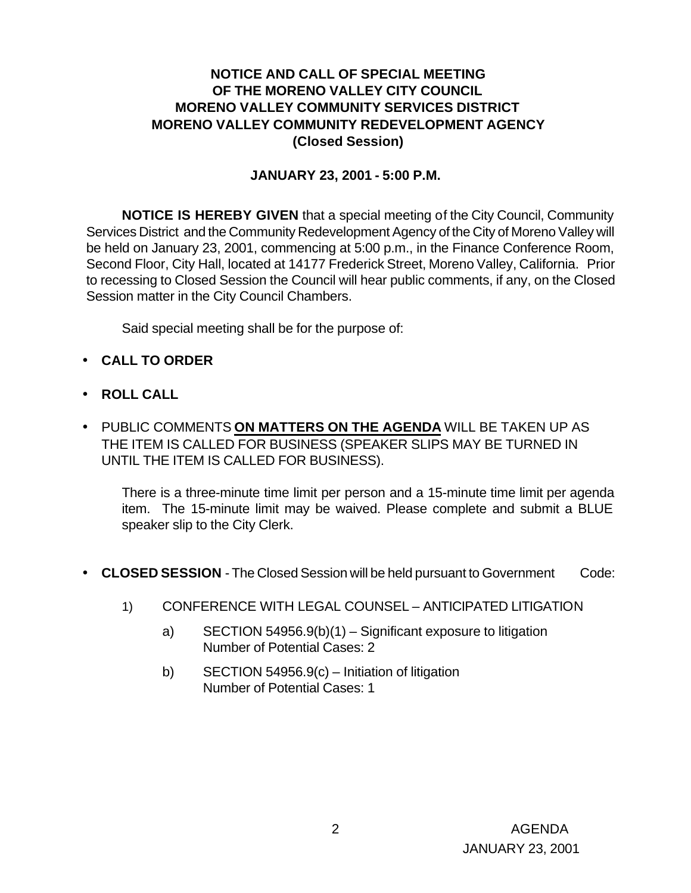### **NOTICE AND CALL OF SPECIAL MEETING OF THE MORENO VALLEY CITY COUNCIL MORENO VALLEY COMMUNITY SERVICES DISTRICT MORENO VALLEY COMMUNITY REDEVELOPMENT AGENCY (Closed Session)**

#### **JANUARY 23, 2001 - 5:00 P.M.**

**NOTICE IS HEREBY GIVEN** that a special meeting of the City Council, Community Services District and the Community Redevelopment Agency of the City of Moreno Valley will be held on January 23, 2001, commencing at 5:00 p.m., in the Finance Conference Room, Second Floor, City Hall, located at 14177 Frederick Street, Moreno Valley, California. Prior to recessing to Closed Session the Council will hear public comments, if any, on the Closed Session matter in the City Council Chambers.

Said special meeting shall be for the purpose of:

- **CALL TO ORDER**
- **ROLL CALL**
- PUBLIC COMMENTS **ON MATTERS ON THE AGENDA** WILL BE TAKEN UP AS THE ITEM IS CALLED FOR BUSINESS (SPEAKER SLIPS MAY BE TURNED IN UNTIL THE ITEM IS CALLED FOR BUSINESS).

There is a three-minute time limit per person and a 15-minute time limit per agenda item. The 15-minute limit may be waived. Please complete and submit a BLUE speaker slip to the City Clerk.

- **CLOSED SESSION** The Closed Session will be held pursuant to Government Code:
	- 1) CONFERENCE WITH LEGAL COUNSEL ANTICIPATED LITIGATION
		- a) SECTION 54956.9(b)(1) Significant exposure to litigation Number of Potential Cases: 2
		- b) SECTION 54956.9(c) Initiation of litigation Number of Potential Cases: 1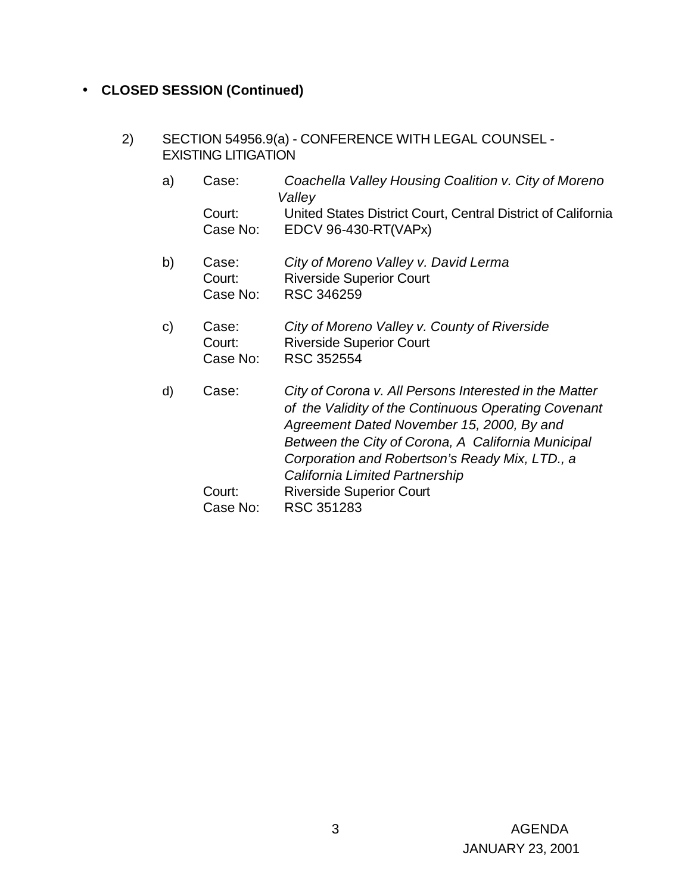### • **CLOSED SESSION (Continued)**

- 2) SECTION 54956.9(a) CONFERENCE WITH LEGAL COUNSEL EXISTING LITIGATION
	- a) Case: *Coachella Valley Housing Coalition v. City of Moreno Valley* Court: United States District Court, Central District of California Case No: EDCV 96-430-RT(VAPx)
	- b) Case: *City of Moreno Valley v. David Lerma* Court: Riverside Superior Court Case No: RSC 346259
	- c) Case: *City of Moreno Valley v. County of Riverside* Court: Riverside Superior Court Case No: RSC 352554
	- d) Case: *City of Corona v. All Persons Interested in the Matter of the Validity of the Continuous Operating Covenant Agreement Dated November 15, 2000, By and Between the City of Corona, A California Municipal Corporation and Robertson's Ready Mix, LTD., a California Limited Partnership* Court: Riverside Superior Court Case No: RSC 351283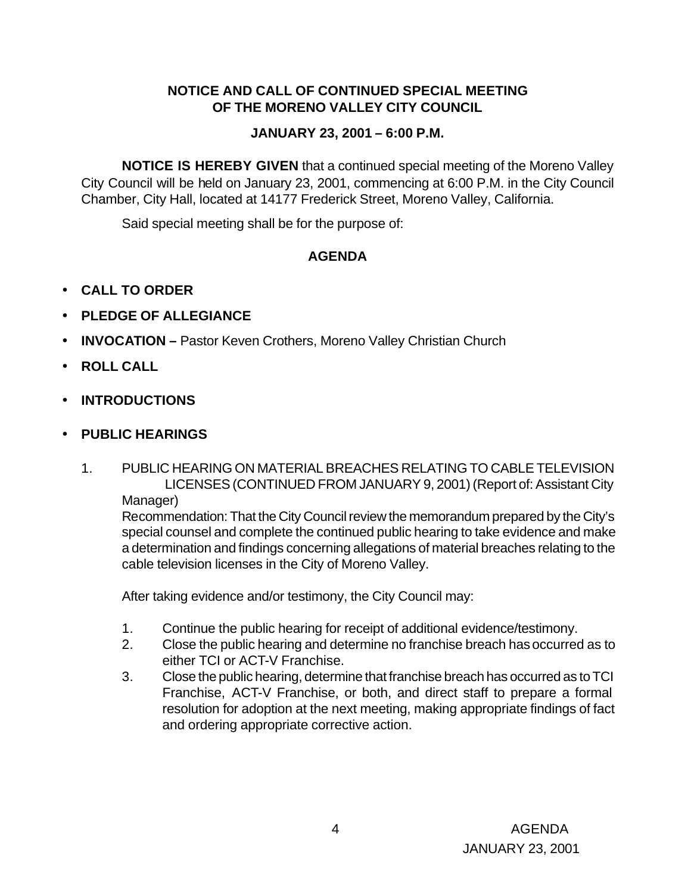## **NOTICE AND CALL OF CONTINUED SPECIAL MEETING OF THE MORENO VALLEY CITY COUNCIL**

# **JANUARY 23, 2001 – 6:00 P.M.**

**NOTICE IS HEREBY GIVEN** that a continued special meeting of the Moreno Valley City Council will be held on January 23, 2001, commencing at 6:00 P.M. in the City Council Chamber, City Hall, located at 14177 Frederick Street, Moreno Valley, California.

Said special meeting shall be for the purpose of:

# **AGENDA**

- **CALL TO ORDER**
- **PLEDGE OF ALLEGIANCE**
- **INVOCATION –** Pastor Keven Crothers, Moreno Valley Christian Church
- **ROLL CALL**
- **INTRODUCTIONS**
- **PUBLIC HEARINGS**
	- 1. PUBLIC HEARING ON MATERIAL BREACHES RELATING TO CABLE TELEVISION LICENSES (CONTINUED FROM JANUARY 9, 2001) (Report of: Assistant City Manager)

Recommendation: That the City Council review the memorandum prepared by the City's special counsel and complete the continued public hearing to take evidence and make a determination and findings concerning allegations of material breaches relating to the cable television licenses in the City of Moreno Valley.

After taking evidence and/or testimony, the City Council may:

- 1. Continue the public hearing for receipt of additional evidence/testimony.
- 2. Close the public hearing and determine no franchise breach has occurred as to either TCI or ACT-V Franchise.
- 3. Close the public hearing, determine that franchise breach has occurred as to TCI Franchise, ACT-V Franchise, or both, and direct staff to prepare a formal resolution for adoption at the next meeting, making appropriate findings of fact and ordering appropriate corrective action.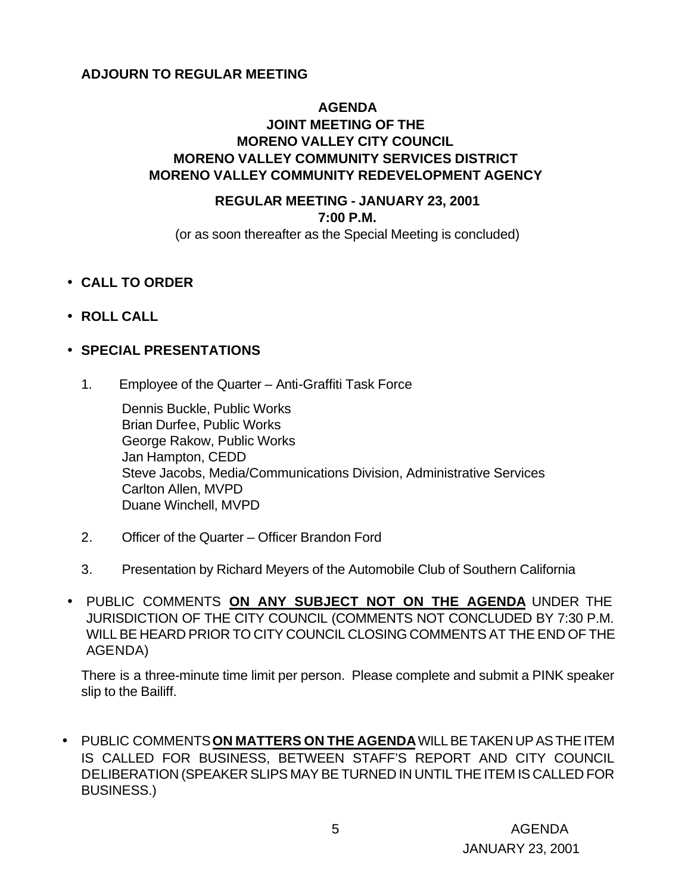#### **ADJOURN TO REGULAR MEETING**

### **AGENDA JOINT MEETING OF THE MORENO VALLEY CITY COUNCIL MORENO VALLEY COMMUNITY SERVICES DISTRICT MORENO VALLEY COMMUNITY REDEVELOPMENT AGENCY**

## **REGULAR MEETING - JANUARY 23, 2001 7:00 P.M.**

(or as soon thereafter as the Special Meeting is concluded)

- **CALL TO ORDER**
- **ROLL CALL**

#### • **SPECIAL PRESENTATIONS**

1. Employee of the Quarter – Anti-Graffiti Task Force

Dennis Buckle, Public Works Brian Durfee, Public Works George Rakow, Public Works Jan Hampton, CEDD Steve Jacobs, Media/Communications Division, Administrative Services Carlton Allen, MVPD Duane Winchell, MVPD

- 2. Officer of the Quarter Officer Brandon Ford
- 3. Presentation by Richard Meyers of the Automobile Club of Southern California
- PUBLIC COMMENTS **ON ANY SUBJECT NOT ON THE AGENDA** UNDER THE JURISDICTION OF THE CITY COUNCIL (COMMENTS NOT CONCLUDED BY 7:30 P.M. WILL BE HEARD PRIOR TO CITY COUNCIL CLOSING COMMENTS AT THE END OF THE AGENDA)

There is a three-minute time limit per person. Please complete and submit a PINK speaker slip to the Bailiff.

• PUBLIC COMMENTS **ON MATTERS ON THE AGENDA** WILL BE TAKEN UP AS THE ITEM IS CALLED FOR BUSINESS, BETWEEN STAFF'S REPORT AND CITY COUNCIL DELIBERATION (SPEAKER SLIPS MAY BE TURNED IN UNTIL THE ITEM IS CALLED FOR BUSINESS.)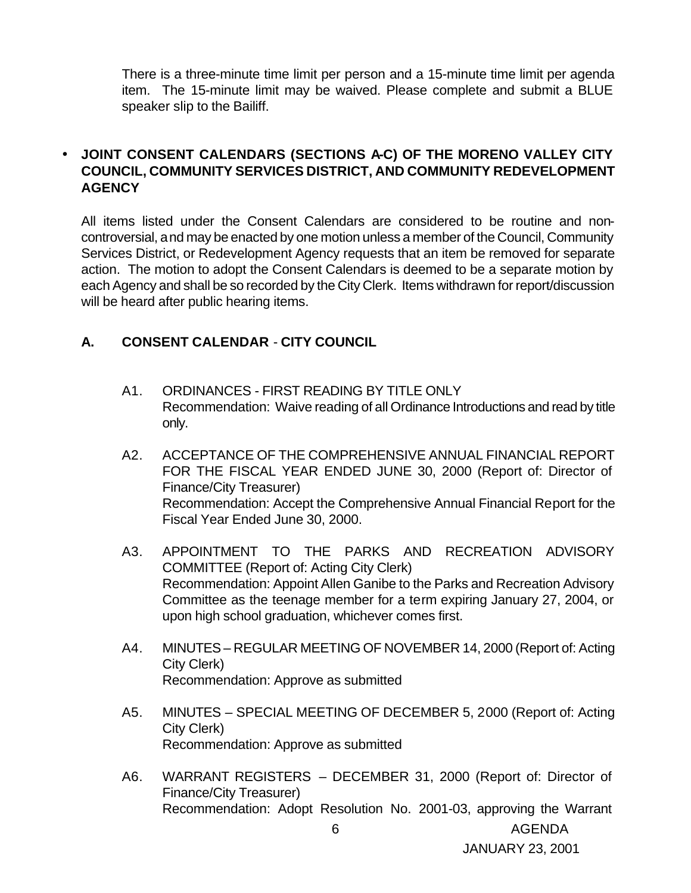There is a three-minute time limit per person and a 15-minute time limit per agenda item. The 15-minute limit may be waived. Please complete and submit a BLUE speaker slip to the Bailiff.

## • **JOINT CONSENT CALENDARS (SECTIONS A-C) OF THE MORENO VALLEY CITY COUNCIL, COMMUNITY SERVICES DISTRICT, AND COMMUNITY REDEVELOPMENT AGENCY**

All items listed under the Consent Calendars are considered to be routine and noncontroversial, and may be enacted by one motion unless a member of the Council, Community Services District, or Redevelopment Agency requests that an item be removed for separate action. The motion to adopt the Consent Calendars is deemed to be a separate motion by each Agency and shall be so recorded by the City Clerk. Items withdrawn for report/discussion will be heard after public hearing items.

### **A. CONSENT CALENDAR** - **CITY COUNCIL**

- A1. ORDINANCES FIRST READING BY TITLE ONLY Recommendation: Waive reading of all Ordinance Introductions and read by title only.
- A2. ACCEPTANCE OF THE COMPREHENSIVE ANNUAL FINANCIAL REPORT FOR THE FISCAL YEAR ENDED JUNE 30, 2000 (Report of: Director of Finance/City Treasurer) Recommendation: Accept the Comprehensive Annual Financial Report for the Fiscal Year Ended June 30, 2000.
- A3. APPOINTMENT TO THE PARKS AND RECREATION ADVISORY COMMITTEE (Report of: Acting City Clerk) Recommendation: Appoint Allen Ganibe to the Parks and Recreation Advisory Committee as the teenage member for a term expiring January 27, 2004, or upon high school graduation, whichever comes first.
- A4. MINUTES REGULAR MEETING OF NOVEMBER 14, 2000 (Report of: Acting City Clerk) Recommendation: Approve as submitted
- A5. MINUTES SPECIAL MEETING OF DECEMBER 5, 2000 (Report of: Acting City Clerk) Recommendation: Approve as submitted
- A6. WARRANT REGISTERS DECEMBER 31, 2000 (Report of: Director of Finance/City Treasurer) Recommendation: Adopt Resolution No. 2001-03, approving the Warrant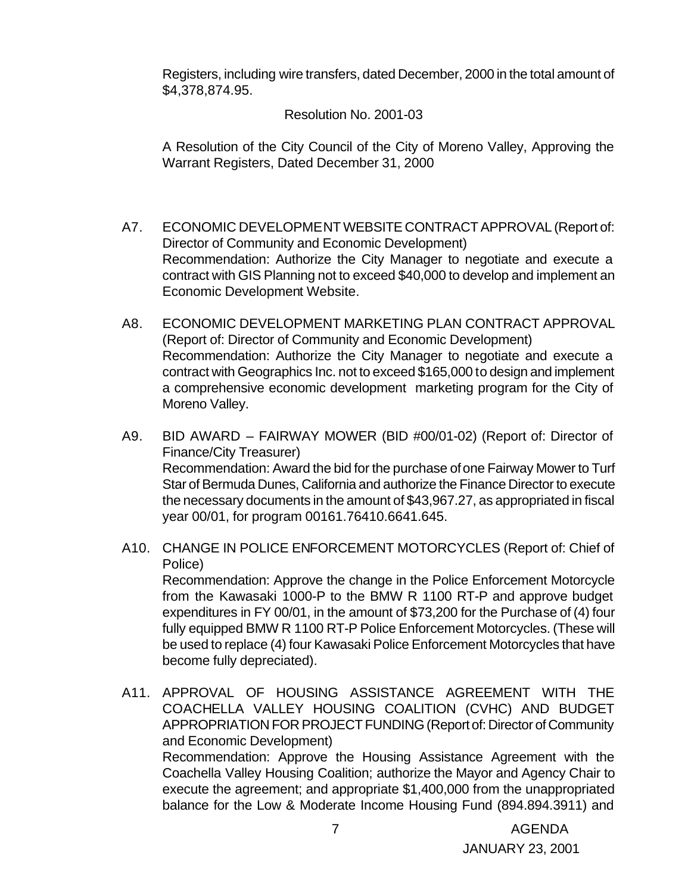Registers, including wire transfers, dated December, 2000 in the total amount of \$4,378,874.95.

#### Resolution No. 2001-03

A Resolution of the City Council of the City of Moreno Valley, Approving the Warrant Registers, Dated December 31, 2000

- A7. ECONOMIC DEVELOPMENT WEBSITE CONTRACT APPROVAL (Report of: Director of Community and Economic Development) Recommendation: Authorize the City Manager to negotiate and execute a contract with GIS Planning not to exceed \$40,000 to develop and implement an Economic Development Website.
- A8. ECONOMIC DEVELOPMENT MARKETING PLAN CONTRACT APPROVAL (Report of: Director of Community and Economic Development) Recommendation: Authorize the City Manager to negotiate and execute a contract with Geographics Inc. not to exceed \$165,000 to design and implement a comprehensive economic development marketing program for the City of Moreno Valley.
- A9. BID AWARD FAIRWAY MOWER (BID #00/01-02) (Report of: Director of Finance/City Treasurer) Recommendation: Award the bid for the purchase of one Fairway Mower to Turf Star of Bermuda Dunes, California and authorize the Finance Director to execute the necessary documents in the amount of \$43,967.27, as appropriated in fiscal year 00/01, for program 00161.76410.6641.645.
- A10. CHANGE IN POLICE ENFORCEMENT MOTORCYCLES (Report of: Chief of Police) Recommendation: Approve the change in the Police Enforcement Motorcycle from the Kawasaki 1000-P to the BMW R 1100 RT-P and approve budget expenditures in FY 00/01, in the amount of \$73,200 for the Purchase of (4) four fully equipped BMW R 1100 RT-P Police Enforcement Motorcycles. (These will be used to replace (4) four Kawasaki Police Enforcement Motorcycles that have become fully depreciated).
- A11. APPROVAL OF HOUSING ASSISTANCE AGREEMENT WITH THE COACHELLA VALLEY HOUSING COALITION (CVHC) AND BUDGET APPROPRIATION FOR PROJECT FUNDING (Report of: Director of Community and Economic Development) Recommendation: Approve the Housing Assistance Agreement with the Coachella Valley Housing Coalition; authorize the Mayor and Agency Chair to execute the agreement; and appropriate \$1,400,000 from the unappropriated balance for the Low & Moderate Income Housing Fund (894.894.3911) and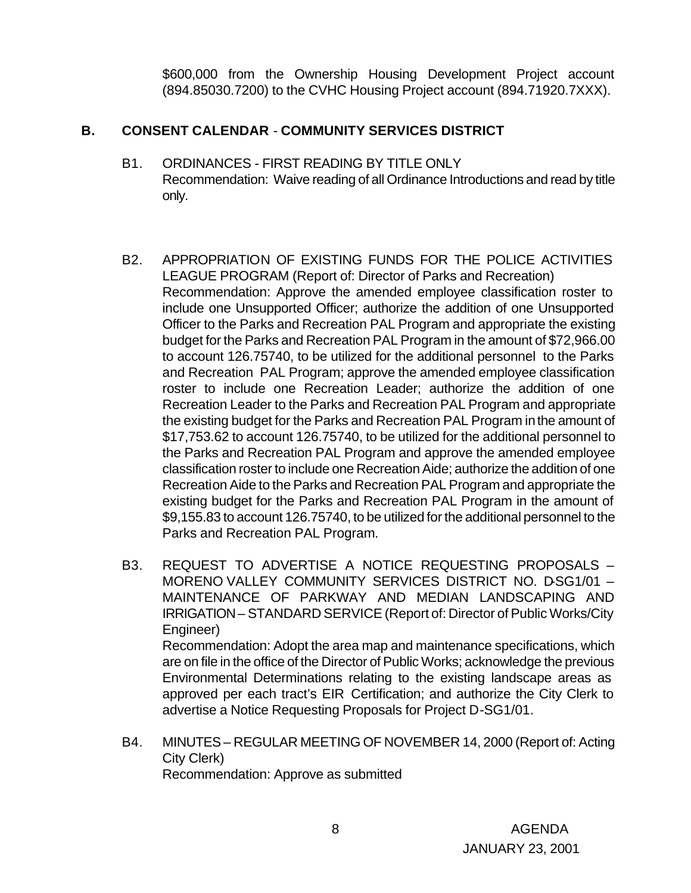\$600,000 from the Ownership Housing Development Project account (894.85030.7200) to the CVHC Housing Project account (894.71920.7XXX).

## **B. CONSENT CALENDAR** - **COMMUNITY SERVICES DISTRICT**

- B1. ORDINANCES FIRST READING BY TITLE ONLY Recommendation: Waive reading of all Ordinance Introductions and read by title only.
- B2. APPROPRIATION OF EXISTING FUNDS FOR THE POLICE ACTIVITIES LEAGUE PROGRAM (Report of: Director of Parks and Recreation) Recommendation: Approve the amended employee classification roster to include one Unsupported Officer; authorize the addition of one Unsupported Officer to the Parks and Recreation PAL Program and appropriate the existing budget for the Parks and Recreation PAL Program in the amount of \$72,966.00 to account 126.75740, to be utilized for the additional personnel to the Parks and Recreation PAL Program; approve the amended employee classification roster to include one Recreation Leader; authorize the addition of one Recreation Leader to the Parks and Recreation PAL Program and appropriate the existing budget for the Parks and Recreation PAL Program in the amount of \$17,753.62 to account 126.75740, to be utilized for the additional personnel to the Parks and Recreation PAL Program and approve the amended employee classification roster to include one Recreation Aide; authorize the addition of one Recreation Aide to the Parks and Recreation PAL Program and appropriate the existing budget for the Parks and Recreation PAL Program in the amount of \$9,155.83 to account 126.75740, to be utilized for the additional personnel to the Parks and Recreation PAL Program.
- B3. REQUEST TO ADVERTISE A NOTICE REQUESTING PROPOSALS MORENO VALLEY COMMUNITY SERVICES DISTRICT NO. D-SG1/01 -MAINTENANCE OF PARKWAY AND MEDIAN LANDSCAPING AND IRRIGATION – STANDARD SERVICE (Report of: Director of Public Works/City Engineer) Recommendation: Adopt the area map and maintenance specifications, which are on file in the office of the Director of Public Works; acknowledge the previous Environmental Determinations relating to the existing landscape areas as approved per each tract's EIR Certification; and authorize the City Clerk to advertise a Notice Requesting Proposals for Project D-SG1/01.
- B4. MINUTES REGULAR MEETING OF NOVEMBER 14, 2000 (Report of: Acting City Clerk) Recommendation: Approve as submitted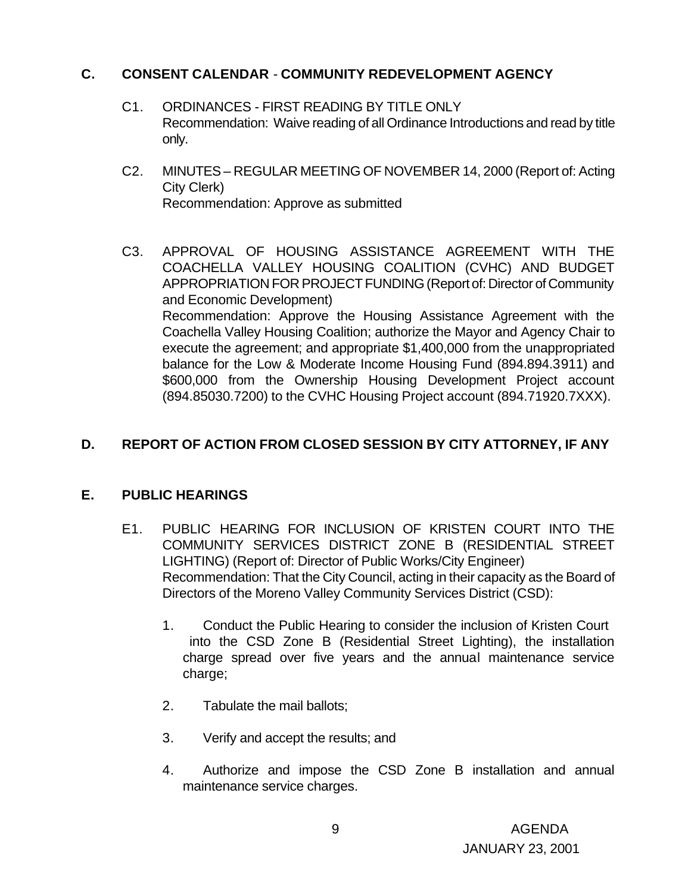## **C. CONSENT CALENDAR** - **COMMUNITY REDEVELOPMENT AGENCY**

- C1. ORDINANCES FIRST READING BY TITLE ONLY Recommendation: Waive reading of all Ordinance Introductions and read by title only.
- C2. MINUTES REGULAR MEETING OF NOVEMBER 14, 2000 (Report of: Acting City Clerk) Recommendation: Approve as submitted
- C3. APPROVAL OF HOUSING ASSISTANCE AGREEMENT WITH THE COACHELLA VALLEY HOUSING COALITION (CVHC) AND BUDGET APPROPRIATION FOR PROJECT FUNDING (Report of: Director of Community and Economic Development) Recommendation: Approve the Housing Assistance Agreement with the Coachella Valley Housing Coalition; authorize the Mayor and Agency Chair to execute the agreement; and appropriate \$1,400,000 from the unappropriated balance for the Low & Moderate Income Housing Fund (894.894.3911) and \$600,000 from the Ownership Housing Development Project account (894.85030.7200) to the CVHC Housing Project account (894.71920.7XXX).

## **D. REPORT OF ACTION FROM CLOSED SESSION BY CITY ATTORNEY, IF ANY**

#### **E. PUBLIC HEARINGS**

- E1. PUBLIC HEARING FOR INCLUSION OF KRISTEN COURT INTO THE COMMUNITY SERVICES DISTRICT ZONE B (RESIDENTIAL STREET LIGHTING) (Report of: Director of Public Works/City Engineer) Recommendation: That the City Council, acting in their capacity as the Board of Directors of the Moreno Valley Community Services District (CSD):
	- 1. Conduct the Public Hearing to consider the inclusion of Kristen Court into the CSD Zone B (Residential Street Lighting), the installation charge spread over five years and the annual maintenance service charge;
	- 2. Tabulate the mail ballots;
	- 3. Verify and accept the results; and
	- 4. Authorize and impose the CSD Zone B installation and annual maintenance service charges.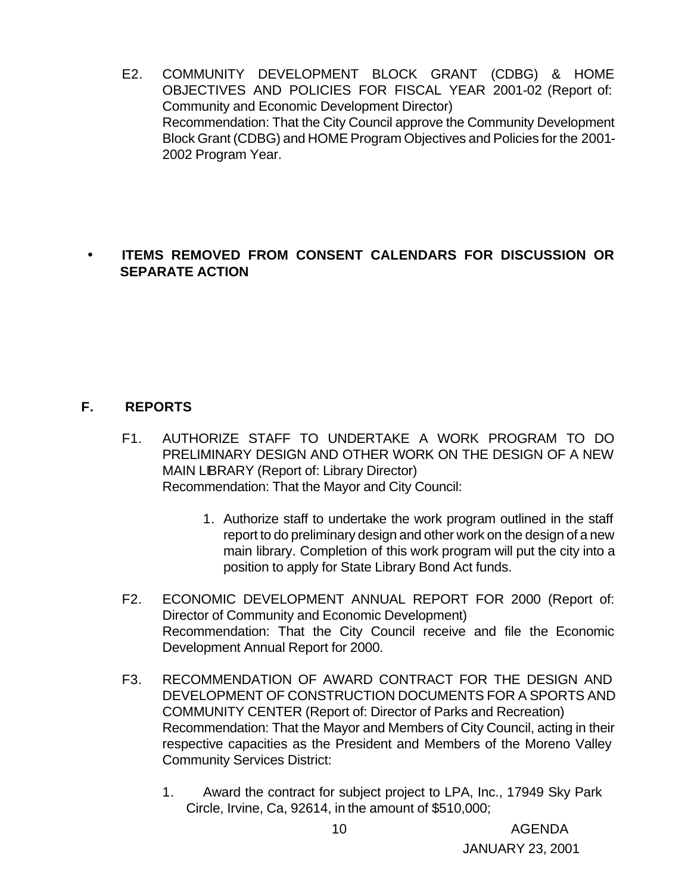E2. COMMUNITY DEVELOPMENT BLOCK GRANT (CDBG) & HOME OBJECTIVES AND POLICIES FOR FISCAL YEAR 2001-02 (Report of: Community and Economic Development Director) Recommendation: That the City Council approve the Community Development Block Grant (CDBG) and HOME Program Objectives and Policies for the 2001- 2002 Program Year.

## • **ITEMS REMOVED FROM CONSENT CALENDARS FOR DISCUSSION OR SEPARATE ACTION**

### **F. REPORTS**

- F1. AUTHORIZE STAFF TO UNDERTAKE A WORK PROGRAM TO DO PRELIMINARY DESIGN AND OTHER WORK ON THE DESIGN OF A NEW MAIN LIBRARY (Report of: Library Director) Recommendation: That the Mayor and City Council:
	- 1. Authorize staff to undertake the work program outlined in the staff report to do preliminary design and other work on the design of a new main library. Completion of this work program will put the city into a position to apply for State Library Bond Act funds.
- F2. ECONOMIC DEVELOPMENT ANNUAL REPORT FOR 2000 (Report of: Director of Community and Economic Development) Recommendation: That the City Council receive and file the Economic Development Annual Report for 2000.
- F3. RECOMMENDATION OF AWARD CONTRACT FOR THE DESIGN AND DEVELOPMENT OF CONSTRUCTION DOCUMENTS FOR A SPORTS AND COMMUNITY CENTER (Report of: Director of Parks and Recreation) Recommendation: That the Mayor and Members of City Council, acting in their respective capacities as the President and Members of the Moreno Valley Community Services District:
	- 1. Award the contract for subject project to LPA, Inc., 17949 Sky Park Circle, Irvine, Ca, 92614, in the amount of \$510,000;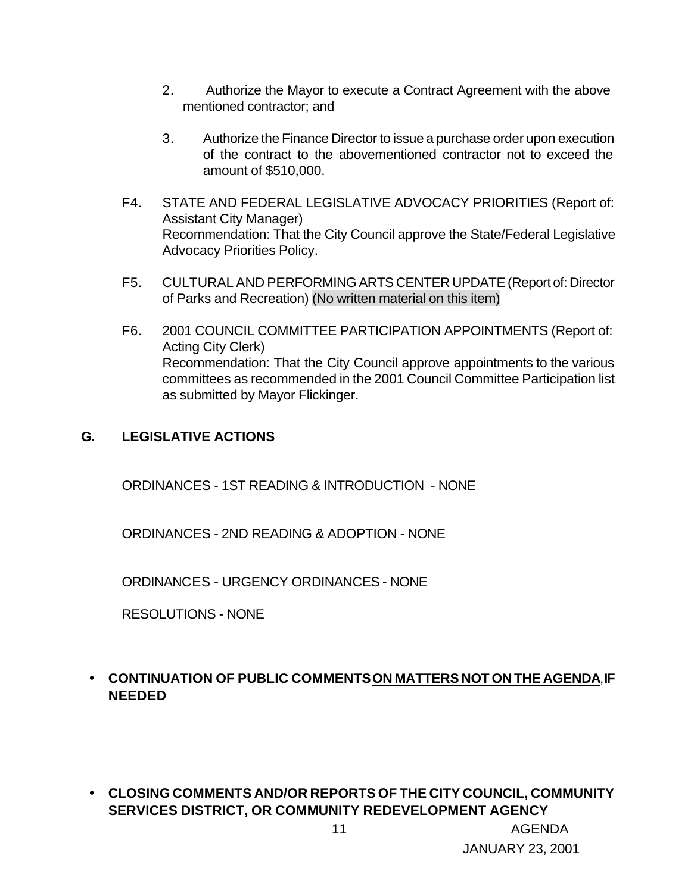- 2. Authorize the Mayor to execute a Contract Agreement with the above mentioned contractor; and
- 3. Authorize the Finance Director to issue a purchase order upon execution of the contract to the abovementioned contractor not to exceed the amount of \$510,000.
- F4. STATE AND FEDERAL LEGISLATIVE ADVOCACY PRIORITIES (Report of: Assistant City Manager) Recommendation: That the City Council approve the State/Federal Legislative Advocacy Priorities Policy.
- F5. CULTURAL AND PERFORMING ARTS CENTER UPDATE (Report of: Director of Parks and Recreation) (No written material on this item)
- F6. 2001 COUNCIL COMMITTEE PARTICIPATION APPOINTMENTS (Report of: Acting City Clerk) Recommendation: That the City Council approve appointments to the various committees as recommended in the 2001 Council Committee Participation list as submitted by Mayor Flickinger.

### **G. LEGISLATIVE ACTIONS**

ORDINANCES - 1ST READING & INTRODUCTION - NONE

ORDINANCES - 2ND READING & ADOPTION - NONE

ORDINANCES - URGENCY ORDINANCES - NONE

RESOLUTIONS - NONE

# • **CONTINUATION OF PUBLIC COMMENTS ON MATTERS NOT ON THE AGENDA**, **IF NEEDED**

• **CLOSING COMMENTS AND/OR REPORTS OF THE CITY COUNCIL, COMMUNITY SERVICES DISTRICT, OR COMMUNITY REDEVELOPMENT AGENCY**